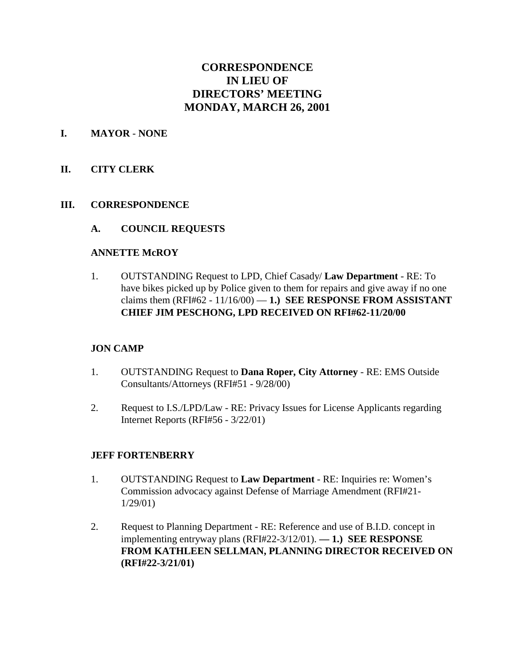# **CORRESPONDENCE IN LIEU OF DIRECTORS' MEETING MONDAY, MARCH 26, 2001**

#### **I. MAYOR** - **NONE**

#### **II. CITY CLERK**

#### **III. CORRESPONDENCE**

#### **A. COUNCIL REQUESTS**

#### **ANNETTE McROY**

1. OUTSTANDING Request to LPD, Chief Casady/ **Law Department** - RE: To have bikes picked up by Police given to them for repairs and give away if no one claims them  $(RFI#62 - 11/16/00) - 1$ .) **SEE RESPONSE FROM ASSISTANT CHIEF JIM PESCHONG, LPD RECEIVED ON RFI#62-11/20/00** 

#### **JON CAMP**

- 1. OUTSTANDING Request to **Dana Roper, City Attorney** RE: EMS Outside Consultants/Attorneys (RFI#51 - 9/28/00)
- 2. Request to I.S./LPD/Law RE: Privacy Issues for License Applicants regarding Internet Reports (RFI#56 - 3/22/01)

#### **JEFF FORTENBERRY**

- 1. OUTSTANDING Request to **Law Department** RE: Inquiries re: Women's Commission advocacy against Defense of Marriage Amendment (RFI#21- 1/29/01)
- 2. Request to Planning Department RE: Reference and use of B.I.D. concept in implementing entryway plans (RFI#22-3/12/01). **— 1.) SEE RESPONSE FROM KATHLEEN SELLMAN, PLANNING DIRECTOR RECEIVED ON (RFI#22-3/21/01)**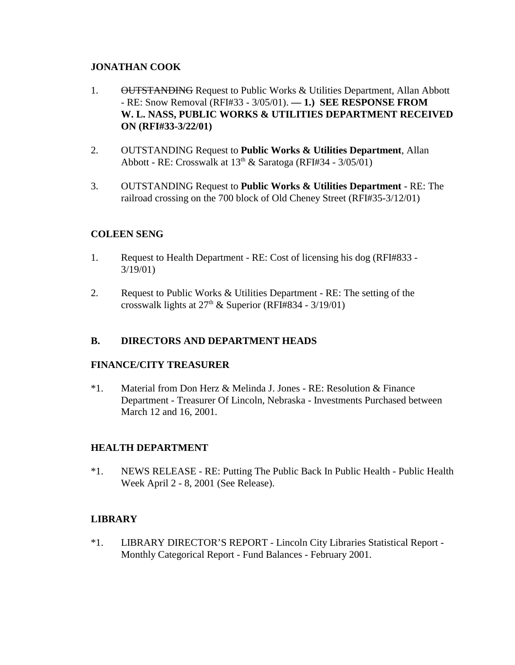## **JONATHAN COOK**

- 1. OUTSTANDING Request to Public Works & Utilities Department, Allan Abbott - RE: Snow Removal (RFI#33 - 3/05/01). **— 1.) SEE RESPONSE FROM W. L. NASS, PUBLIC WORKS & UTILITIES DEPARTMENT RECEIVED ON (RFI#33-3/22/01)**
- 2. OUTSTANDING Request to **Public Works & Utilities Department**, Allan Abbott - RE: Crosswalk at  $13<sup>th</sup>$  & Saratoga (RFI#34 - 3/05/01)
- 3. OUTSTANDING Request to **Public Works & Utilities Department** RE: The railroad crossing on the 700 block of Old Cheney Street (RFI#35-3/12/01)

## **COLEEN SENG**

- 1. Request to Health Department RE: Cost of licensing his dog (RFI#833 3/19/01)
- 2. Request to Public Works & Utilities Department RE: The setting of the crosswalk lights at  $27<sup>th</sup>$  & Superior (RFI#834 - 3/19/01)

### **B. DIRECTORS AND DEPARTMENT HEADS**

### **FINANCE/CITY TREASURER**

\*1. Material from Don Herz & Melinda J. Jones - RE: Resolution & Finance Department - Treasurer Of Lincoln, Nebraska - Investments Purchased between March 12 and 16, 2001.

### **HEALTH DEPARTMENT**

\*1. NEWS RELEASE - RE: Putting The Public Back In Public Health - Public Health Week April 2 - 8, 2001 (See Release).

## **LIBRARY**

\*1. LIBRARY DIRECTOR'S REPORT - Lincoln City Libraries Statistical Report - Monthly Categorical Report - Fund Balances - February 2001.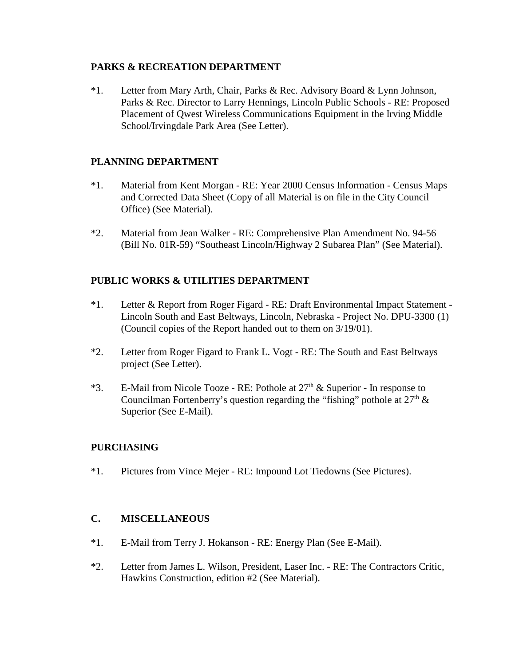#### **PARKS & RECREATION DEPARTMENT**

\*1. Letter from Mary Arth, Chair, Parks & Rec. Advisory Board & Lynn Johnson, Parks & Rec. Director to Larry Hennings, Lincoln Public Schools - RE: Proposed Placement of Qwest Wireless Communications Equipment in the Irving Middle School/Irvingdale Park Area (See Letter).

## **PLANNING DEPARTMENT**

- \*1. Material from Kent Morgan RE: Year 2000 Census Information Census Maps and Corrected Data Sheet (Copy of all Material is on file in the City Council Office) (See Material).
- \*2. Material from Jean Walker RE: Comprehensive Plan Amendment No. 94-56 (Bill No. 01R-59) "Southeast Lincoln/Highway 2 Subarea Plan" (See Material).

## **PUBLIC WORKS & UTILITIES DEPARTMENT**

- \*1. Letter & Report from Roger Figard RE: Draft Environmental Impact Statement Lincoln South and East Beltways, Lincoln, Nebraska - Project No. DPU-3300 (1) (Council copies of the Report handed out to them on 3/19/01).
- \*2. Letter from Roger Figard to Frank L. Vogt RE: The South and East Beltways project (See Letter).
- \*3. E-Mail from Nicole Tooze RE: Pothole at  $27<sup>th</sup>$  & Superior In response to Councilman Fortenberry's question regarding the "fishing" pothole at  $27<sup>th</sup>$  & Superior (See E-Mail).

### **PURCHASING**

\*1. Pictures from Vince Mejer - RE: Impound Lot Tiedowns (See Pictures).

### **C. MISCELLANEOUS**

- \*1. E-Mail from Terry J. Hokanson RE: Energy Plan (See E-Mail).
- \*2. Letter from James L. Wilson, President, Laser Inc. RE: The Contractors Critic, Hawkins Construction, edition #2 (See Material).